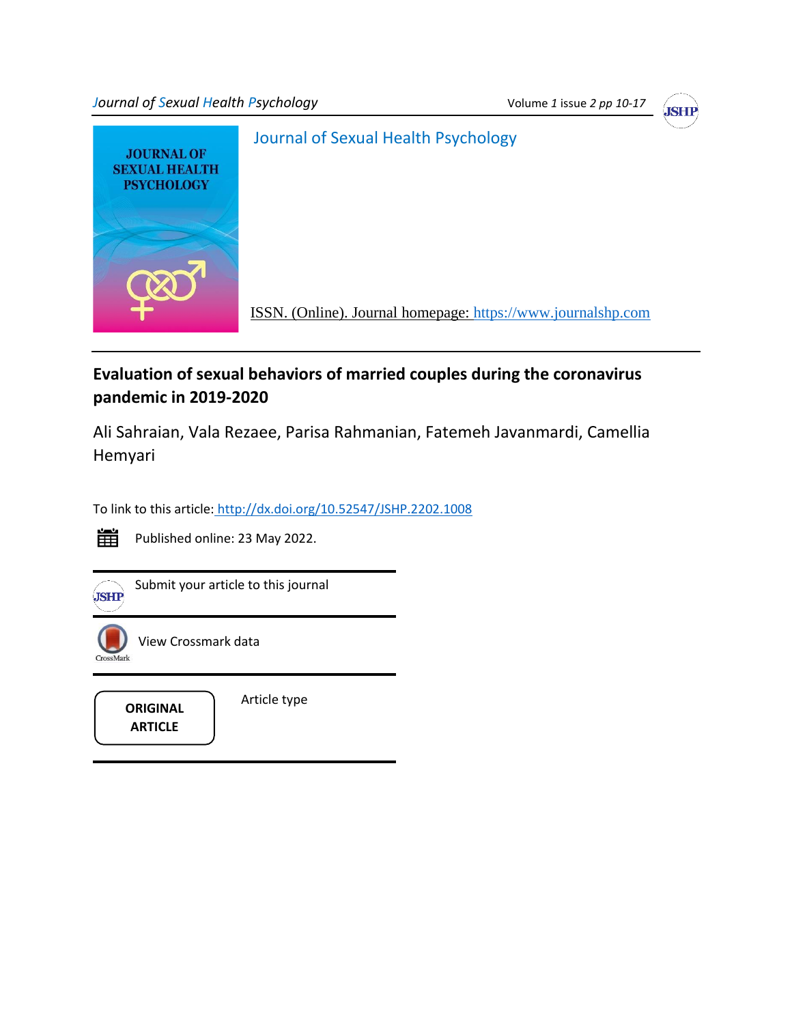*Journal of Sexual Health Psychology* **Volume** *1 Volume 1 issue 2 pp 10-17* 





# **Evaluation of sexual behaviors of married couples during the coronavirus pandemic in 2019-2020**

Ali Sahraian, Vala Rezaee, Parisa Rahmanian, Fatemeh Javanmardi, Camellia Hemyari

To link to this article: <http://dx.doi.org/10.52547/JSHP.2202.1008>



Published online: 23 May 2022.



 $\widehat{\mathbf{S}(\mathbf{S})}$ Submit your article to this journal



View Crossmark data

**ARTICLE**

Article type **ORIGINAL**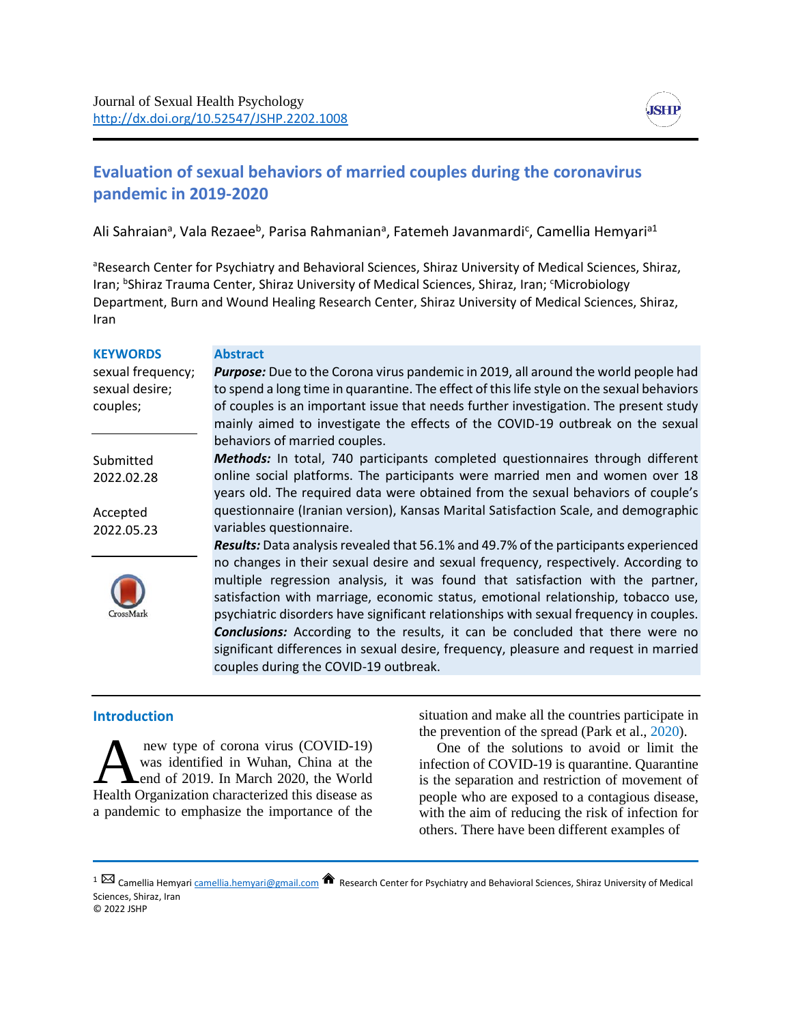

## **Evaluation of sexual behaviors of married couples during the coronavirus pandemic in 2019-2020**

Ali Sahraian<sup>a</sup>, Vala Rezaee<sup>b</sup>, Parisa Rahmanian<sup>a</sup>, Fatemeh Javanmardi<sup>c</sup>, Camellia Hemyari<sup>a1</sup>

aResearch Center for Psychiatry and Behavioral Sciences, Shiraz University of Medical Sciences, Shiraz, Iran; <sup>b</sup>Shiraz Trauma Center, Shiraz University of Medical Sciences, Shiraz, Iran; <sup>c</sup>Microbiology Department, Burn and Wound Healing Research Center, Shiraz University of Medical Sciences, Shiraz, Iran

| <b>KEYWORDS</b>   | <b>Abstract</b>                                                                             |
|-------------------|---------------------------------------------------------------------------------------------|
| sexual frequency; | <b>Purpose:</b> Due to the Corona virus pandemic in 2019, all around the world people had   |
| sexual desire;    | to spend a long time in quarantine. The effect of this life style on the sexual behaviors   |
| couples;          | of couples is an important issue that needs further investigation. The present study        |
|                   | mainly aimed to investigate the effects of the COVID-19 outbreak on the sexual              |
|                   | behaviors of married couples.                                                               |
| Submitted         | <b>Methods:</b> In total, 740 participants completed questionnaires through different       |
| 2022.02.28        | online social platforms. The participants were married men and women over 18                |
|                   | years old. The required data were obtained from the sexual behaviors of couple's            |
| Accepted          | questionnaire (Iranian version), Kansas Marital Satisfaction Scale, and demographic         |
| 2022.05.23        | variables questionnaire.                                                                    |
|                   | <b>Results:</b> Data analysis revealed that 56.1% and 49.7% of the participants experienced |
|                   | no changes in their sexual desire and sexual frequency, respectively. According to          |
|                   | multiple regression analysis, it was found that satisfaction with the partner,              |
|                   | satisfaction with marriage, economic status, emotional relationship, tobacco use,           |
| <b>TrossMark</b>  | psychiatric disorders have significant relationships with sexual frequency in couples.      |
|                   | <b>Conclusions:</b> According to the results, it can be concluded that there were no        |
|                   | significant differences in sexual desire, frequency, pleasure and request in married        |
|                   | couples during the COVID-19 outbreak.                                                       |
|                   |                                                                                             |

#### **Introduction**

new type of corona virus (COVID-19) was identified in Wuhan, China at the end of 2019. In March 2020, the World new type of corona virus (COVID-19)<br>was identified in Wuhan, China at the<br>Health Organization characterized this disease as a pandemic to emphasize the importance of the

situation and make all the countries participate in the prevention of the spread (Park et al., 2020).

 One of the solutions to avoid or limit the infection of COVID-19 is quarantine. Quarantine is the separation and restriction of movement of people who are exposed to a contagious disease, with the aim of reducing the risk of infection for others. There have been different examples of

1 Camellia Hemyar[i camellia.hemyari@gmail.com](mailto:camellia.hemyari@gmail.com) Research Center for Psychiatry and Behavioral Sciences, Shiraz University of Medical Sciences, Shiraz, Iran © 2022 JSHP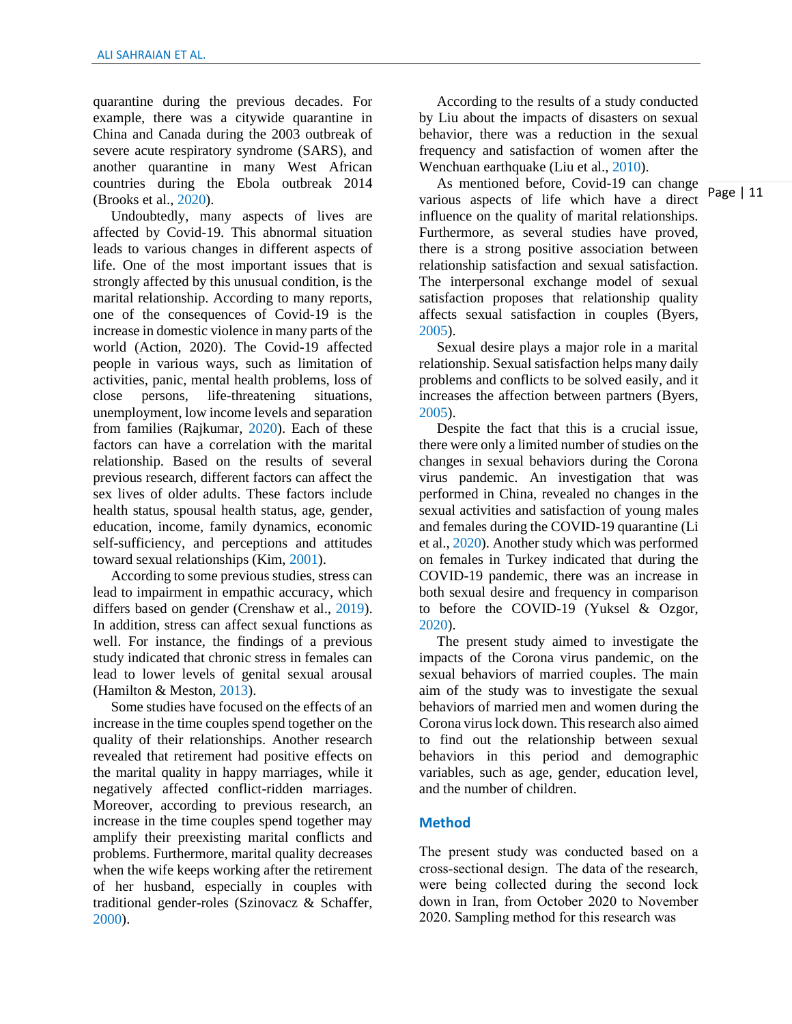quarantine during the previous decades. For example, there was a citywide quarantine in China and Canada during the 2003 outbreak of severe acute respiratory syndrome (SARS), and another quarantine in many West African countries during the Ebola outbreak 2014 (Brooks et al., 2020).

 Undoubtedly, many aspects of lives are affected by Covid-19. This abnormal situation leads to various changes in different aspects of life. One of the most important issues that is strongly affected by this unusual condition, is the marital relationship. According to many reports, one of the consequences of Covid-19 is the increase in domestic violence in many parts of the world (Action, 2020). The Covid-19 affected people in various ways, such as limitation of activities, panic, mental health problems, loss of close persons, life-threatening situations, unemployment, low income levels and separation from families (Rajkumar, 2020). Each of these factors can have a correlation with the marital relationship. Based on the results of several previous research, different factors can affect the sex lives of older adults. These factors include health status, spousal health status, age, gender, education, income, family dynamics, economic self-sufficiency, and perceptions and attitudes toward sexual relationships (Kim, 2001).

 According to some previous studies, stress can lead to impairment in empathic accuracy, which differs based on gender (Crenshaw et al., 2019). In addition, stress can affect sexual functions as well. For instance, the findings of a previous study indicated that chronic stress in females can lead to lower levels of genital sexual arousal (Hamilton & Meston, 2013).

 Some studies have focused on the effects of an increase in the time couples spend together on the quality of their relationships. Another research revealed that retirement had positive effects on the marital quality in happy marriages, while it negatively affected conflict-ridden marriages. Moreover, according to previous research, an increase in the time couples spend together may amplify their preexisting marital conflicts and problems. Furthermore, marital quality decreases when the wife keeps working after the retirement of her husband, especially in couples with traditional gender-roles (Szinovacz & Schaffer, 2000).

 According to the results of a study conducted by Liu about the impacts of disasters on sexual behavior, there was a reduction in the sexual frequency and satisfaction of women after the Wenchuan earthquake (Liu et al., 2010).

 As mentioned before, Covid-19 can change various aspects of life which have a direct influence on the quality of marital relationships. Furthermore, as several studies have proved, there is a strong positive association between relationship satisfaction and sexual satisfaction. The interpersonal exchange model of sexual satisfaction proposes that relationship quality affects sexual satisfaction in couples (Byers, 2005).

 Sexual desire plays a major role in a marital relationship. Sexual satisfaction helps many daily problems and conflicts to be solved easily, and it increases the affection between partners (Byers, 2005).

 Despite the fact that this is a crucial issue, there were only a limited number of studies on the changes in sexual behaviors during the Corona virus pandemic. An investigation that was performed in China, revealed no changes in the sexual activities and satisfaction of young males and females during the COVID-19 quarantine (Li et al., 2020). Another study which was performed on females in Turkey indicated that during the COVID-19 pandemic, there was an increase in both sexual desire and frequency in comparison to before the COVID-19 (Yuksel & Ozgor, 2020).

 The present study aimed to investigate the impacts of the Corona virus pandemic, on the sexual behaviors of married couples. The main aim of the study was to investigate the sexual behaviors of married men and women during the Corona virus lock down. This research also aimed to find out the relationship between sexual behaviors in this period and demographic variables, such as age, gender, education level, and the number of children.

#### **Method**

The present study was conducted based on a cross-sectional design. The data of the research, were being collected during the second lock down in Iran, from October 2020 to November 2020. Sampling method for this research was

Page | 11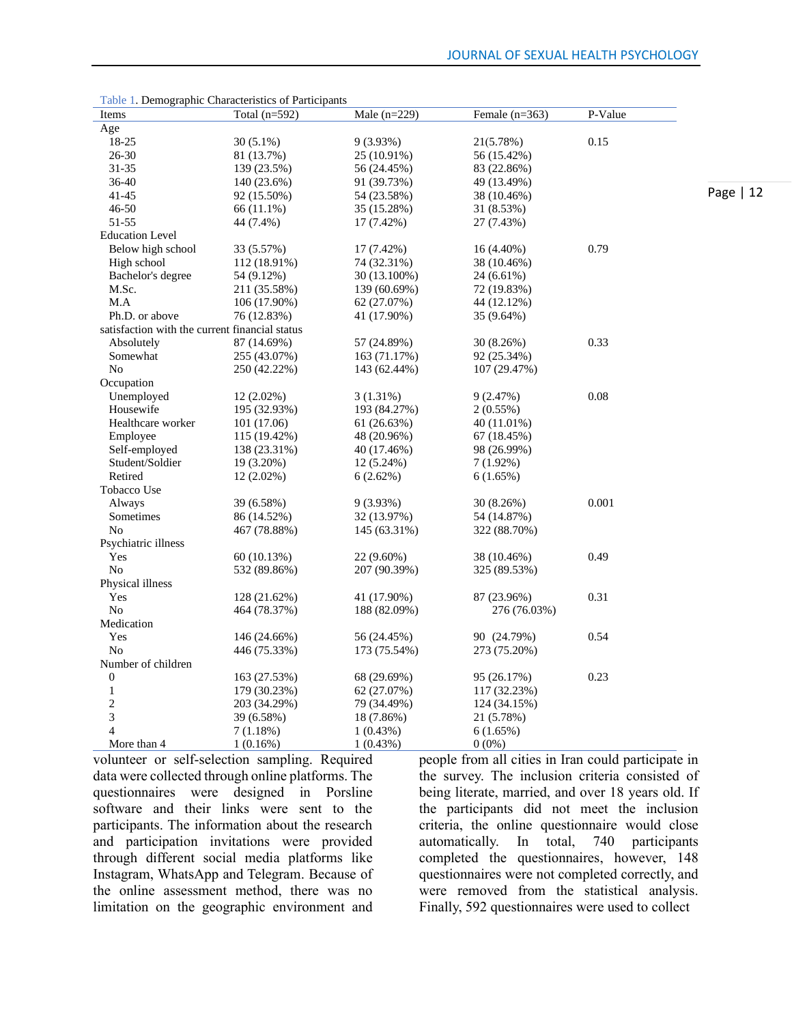|                                                | Table 1. Demographic Characteristics of Family pains |                |                  | P-Value |            |
|------------------------------------------------|------------------------------------------------------|----------------|------------------|---------|------------|
| Items                                          | Total $(n=592)$                                      | Male $(n=229)$ | Female $(n=363)$ |         |            |
| Age                                            |                                                      |                |                  |         |            |
| 18-25                                          | $30(5.1\%)$                                          | $9(3.93\%)$    | 21(5.78%)        | 0.15    |            |
| 26-30                                          | 81 (13.7%)                                           | 25 (10.91%)    | 56 (15.42%)      |         |            |
| 31-35                                          | 139 (23.5%)                                          | 56 (24.45%)    | 83 (22.86%)      |         |            |
| $36 - 40$                                      | 140 (23.6%)                                          | 91 (39.73%)    | 49 (13.49%)      |         |            |
| 41-45                                          | 92 (15.50%)                                          | 54 (23.58%)    | 38 (10.46%)      |         | Page $ 12$ |
| 46-50                                          | 66 (11.1%)                                           | 35 (15.28%)    | 31 (8.53%)       |         |            |
| 51-55                                          | 44 (7.4%)                                            | 17 (7.42%)     | 27 (7.43%)       |         |            |
| <b>Education Level</b>                         |                                                      |                |                  |         |            |
| Below high school                              | 33 (5.57%)                                           | 17 (7.42%)     | 16 (4.40%)       | 0.79    |            |
| High school                                    | 112 (18.91%)                                         | 74 (32.31%)    | 38 (10.46%)      |         |            |
| Bachelor's degree                              | 54 (9.12%)                                           | 30 (13.100%)   | 24 (6.61%)       |         |            |
| M.Sc.                                          | 211 (35.58%)                                         | 139 (60.69%)   | 72 (19.83%)      |         |            |
| M.A                                            | 106 (17.90%)                                         | 62 (27.07%)    | 44 (12.12%)      |         |            |
| Ph.D. or above                                 | 76 (12.83%)                                          | 41 (17.90%)    | 35 (9.64%)       |         |            |
| satisfaction with the current financial status |                                                      |                |                  |         |            |
| Absolutely                                     | 87 (14.69%)                                          | 57 (24.89%)    | 30 (8.26%)       | 0.33    |            |
| Somewhat                                       | 255 (43.07%)                                         | 163 (71.17%)   | 92 (25.34%)      |         |            |
| No                                             | 250 (42.22%)                                         | 143 (62.44%)   | 107 (29.47%)     |         |            |
| Occupation                                     |                                                      |                |                  |         |            |
| Unemployed                                     | 12 (2.02%)                                           | $3(1.31\%)$    | 9(2.47%)         | 0.08    |            |
| Housewife                                      | 195 (32.93%)                                         | 193 (84.27%)   | 2(0.55%)         |         |            |
| Healthcare worker                              | 101 (17.06)                                          | 61 (26.63%)    | 40 (11.01%)      |         |            |
| Employee                                       | 115 (19.42%)                                         | 48 (20.96%)    | 67 (18.45%)      |         |            |
| Self-employed                                  | 138 (23.31%)                                         | 40 (17.46%)    | 98 (26.99%)      |         |            |
| Student/Soldier                                | 19 (3.20%)                                           | 12 (5.24%)     | $7(1.92\%)$      |         |            |
| Retired                                        | 12 (2.02%)                                           | 6(2.62%)       | 6(1.65%)         |         |            |
| Tobacco Use                                    |                                                      |                |                  |         |            |
|                                                |                                                      |                |                  | 0.001   |            |
| Always                                         | 39 (6.58%)                                           | 9(3.93%)       | 30 (8.26%)       |         |            |
| Sometimes                                      | 86 (14.52%)                                          | 32 (13.97%)    | 54 (14.87%)      |         |            |
| No                                             | 467 (78.88%)                                         | 145 (63.31%)   | 322 (88.70%)     |         |            |
| Psychiatric illness                            |                                                      |                |                  |         |            |
| Yes                                            | 60 (10.13%)                                          | 22 (9.60%)     | 38 (10.46%)      | 0.49    |            |
| N <sub>o</sub>                                 | 532 (89.86%)                                         | 207 (90.39%)   | 325 (89.53%)     |         |            |
| Physical illness                               |                                                      |                |                  |         |            |
| Yes                                            | 128 (21.62%)                                         | 41 (17.90%)    | 87 (23.96%)      | 0.31    |            |
| No                                             | 464 (78.37%)                                         | 188 (82.09%)   | 276 (76.03%)     |         |            |
| Medication                                     |                                                      |                |                  |         |            |
| Yes                                            | 146 (24.66%)                                         | 56 (24.45%)    | 90 (24.79%)      | 0.54    |            |
| N <sub>o</sub>                                 | 446 (75.33%)                                         | 173 (75.54%)   | 273 (75.20%)     |         |            |
| Number of children                             |                                                      |                |                  |         |            |
| $\boldsymbol{0}$                               | 163 (27.53%)                                         | 68 (29.69%)    | 95 (26.17%)      | 0.23    |            |
| $\mathbf{1}$                                   | 179 (30.23%)                                         | 62 (27.07%)    | 117 (32.23%)     |         |            |
| $\overline{c}$                                 | 203 (34.29%)                                         | 79 (34.49%)    | 124 (34.15%)     |         |            |
| 3                                              | 39 (6.58%)                                           | 18 (7.86%)     | 21 (5.78%)       |         |            |
| 4                                              | 7(1.18%)                                             | 1(0.43%)       | 6(1.65%)         |         |            |
| More than 4                                    | 1(0.16%)                                             | 1(0.43%)       | $0(0\%)$         |         |            |
|                                                |                                                      |                |                  |         |            |

Table 1. Demographic Characteristics of Participants

volunteer or self-selection sampling. Required data were collected through online platforms. The questionnaires were designed in Porsline software and their links were sent to the participants. The information about the research and participation invitations were provided through different social media platforms like Instagram, WhatsApp and Telegram. Because of the online assessment method, there was no limitation on the geographic environment and

people from all cities in Iran could participate in the survey. The inclusion criteria consisted of being literate, married, and over 18 years old. If the participants did not meet the inclusion criteria, the online questionnaire would close<br>automatically. In total, 740 participants automatically. In total, 740 participants completed the questionnaires, however, 148 questionnaires were not completed correctly, and were removed from the statistical analysis. Finally, 592 questionnaires were used to collect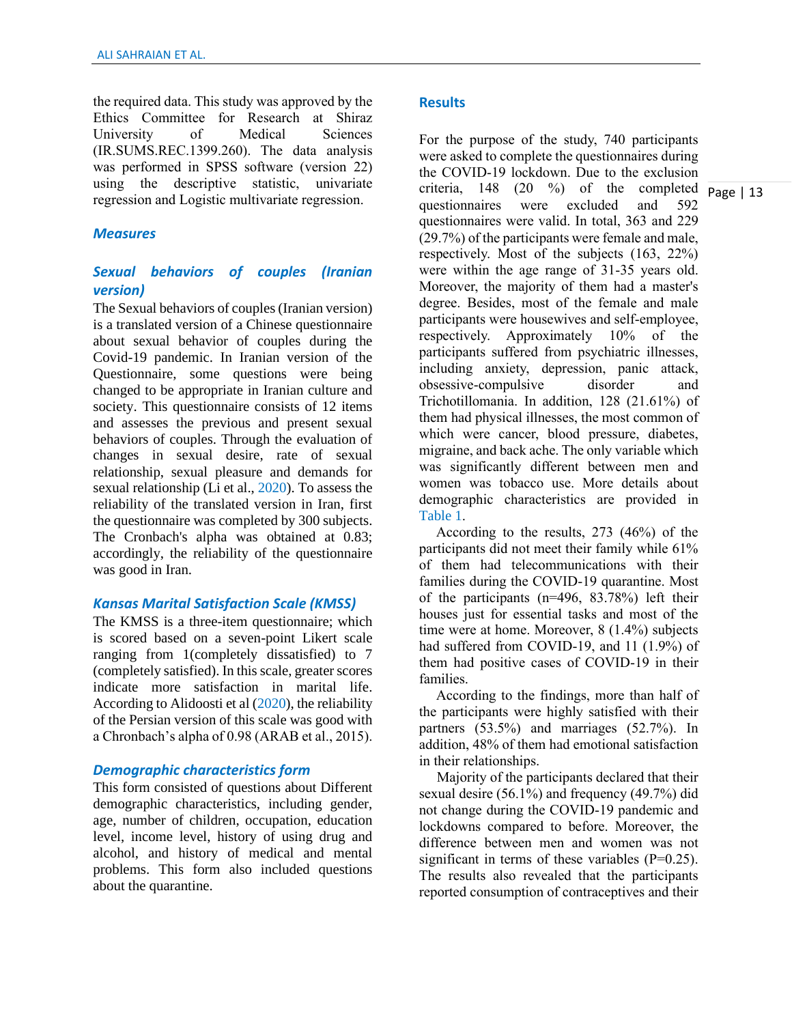the required data. This study was approved by the Ethics Committee for Research at Shiraz University of Medical Sciences (IR.SUMS.REC.1399.260). The data analysis was performed in SPSS software (version 22) using the descriptive statistic, univariate regression and Logistic multivariate regression.

#### *Measures*

### *Sexual behaviors of couples (Iranian version)*

The Sexual behaviors of couples (Iranian version) is a translated version of a Chinese questionnaire about sexual behavior of couples during the Covid-19 pandemic. In Iranian version of the Questionnaire, some questions were being changed to be appropriate in Iranian culture and society. This questionnaire consists of 12 items and assesses the previous and present sexual behaviors of couples. Through the evaluation of changes in sexual desire, rate of sexual relationship, sexual pleasure and demands for sexual relationship (Li et al., 2020). To assess the reliability of the translated version in Iran, first the questionnaire was completed by 300 subjects. The Cronbach's alpha was obtained at 0.83; accordingly, the reliability of the questionnaire was good in Iran.

#### *Kansas Marital Satisfaction Scale (KMSS)*

The KMSS is a three-item questionnaire; which is scored based on a seven-point Likert scale ranging from 1(completely dissatisfied) to 7 (completely satisfied). In this scale, greater scores indicate more satisfaction in marital life. According to Alidoosti et al (2020), the reliability of the Persian version of this scale was good with a Chronbach's alpha of 0.98 (ARAB et al., 2015).

#### *Demographic characteristics form*

This form consisted of questions about Different demographic characteristics, including gender, age, number of children, occupation, education level, income level, history of using drug and alcohol, and history of medical and mental problems. This form also included questions about the quarantine.

#### **Results**

criteria,  $148$  (20 %) of the completed  $\overline{page}$  | 13 For the purpose of the study, 740 participants were asked to complete the questionnaires during the COVID-19 lockdown. Due to the exclusion questionnaires were excluded and 592 questionnaires were valid. In total, 363 and 229 (29.7%) of the participants were female and male, respectively. Most of the subjects (163, 22%) were within the age range of 31-35 years old. Moreover, the majority of them had a master's degree. Besides, most of the female and male participants were housewives and self-employee, respectively. Approximately 10% of the participants suffered from psychiatric illnesses, including anxiety, depression, panic attack, obsessive-compulsive disorder and Trichotillomania. In addition, 128 (21.61%) of them had physical illnesses, the most common of which were cancer, blood pressure, diabetes, migraine, and back ache. The only variable which was significantly different between men and women was tobacco use. More details about demographic characteristics are provided in Table 1.

 According to the results, 273 (46%) of the participants did not meet their family while 61% of them had telecommunications with their families during the COVID-19 quarantine. Most of the participants (n=496, 83.78%) left their houses just for essential tasks and most of the time were at home. Moreover, 8 (1.4%) subjects had suffered from COVID-19, and 11 (1.9%) of them had positive cases of COVID-19 in their families.

 According to the findings, more than half of the participants were highly satisfied with their partners (53.5%) and marriages (52.7%). In addition, 48% of them had emotional satisfaction in their relationships.

 Majority of the participants declared that their sexual desire (56.1%) and frequency (49.7%) did not change during the COVID-19 pandemic and lockdowns compared to before. Moreover, the difference between men and women was not significant in terms of these variables  $(P=0.25)$ . The results also revealed that the participants reported consumption of contraceptives and their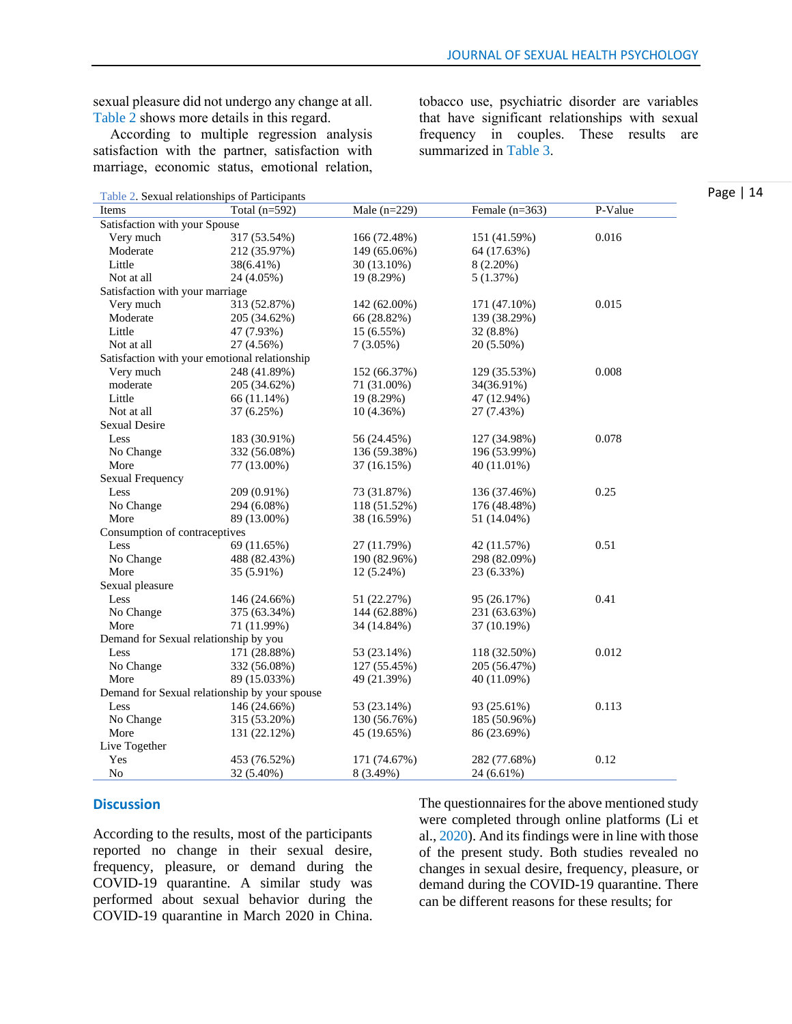sexual pleasure did not undergo any change at all. Table 2 shows more details in this regard.

 According to multiple regression analysis satisfaction with the partner, satisfaction with marriage, economic status, emotional relation,

| Table 2. Sexual relationships of Participants |
|-----------------------------------------------|
|                                               |

tobacco use, psychiatric disorder are variables that have significant relationships with sexual frequency in couples. These results are summarized in Table 3.

| $1 \text{ and } 2.$ Dexual relationships of 1 articipants |                 |                |                  |         |
|-----------------------------------------------------------|-----------------|----------------|------------------|---------|
| Items                                                     | Total $(n=592)$ | Male $(n=229)$ | Female $(n=363)$ | P-Value |
| Satisfaction with your Spouse                             |                 |                |                  |         |
| Very much                                                 | 317 (53.54%)    | 166 (72.48%)   | 151 (41.59%)     | 0.016   |
| Moderate                                                  | 212 (35.97%)    | 149 (65.06%)   | 64 (17.63%)      |         |
| Little                                                    | 38(6.41%)       | 30 (13.10%)    | $8(2.20\%)$      |         |
| Not at all                                                | 24 (4.05%)      | 19 (8.29%)     | 5(1.37%)         |         |
| Satisfaction with your marriage                           |                 |                |                  |         |
| Very much                                                 | 313 (52.87%)    | 142 (62.00%)   | 171 (47.10%)     | 0.015   |
| Moderate                                                  | 205 (34.62%)    | 66 (28.82%)    | 139 (38.29%)     |         |
| Little                                                    | 47 (7.93%)      | 15 (6.55%)     | 32 (8.8%)        |         |
| Not at all                                                | 27 (4.56%)      | $7(3.05\%)$    | 20 (5.50%)       |         |
| Satisfaction with your emotional relationship             |                 |                |                  |         |
| Very much                                                 | 248 (41.89%)    | 152 (66.37%)   | 129 (35.53%)     | 0.008   |
| moderate                                                  | 205 (34.62%)    | 71 (31.00%)    | 34(36.91%)       |         |
| Little                                                    | 66 (11.14%)     | 19 (8.29%)     | 47 (12.94%)      |         |
| Not at all                                                | 37 (6.25%)      | 10(4.36%)      | 27 (7.43%)       |         |
| <b>Sexual Desire</b>                                      |                 |                |                  |         |
| Less                                                      | 183 (30.91%)    | 56 (24.45%)    | 127 (34.98%)     | 0.078   |
| No Change                                                 | 332 (56.08%)    | 136 (59.38%)   | 196 (53.99%)     |         |
| More                                                      | 77 (13.00%)     | 37 (16.15%)    | 40 (11.01%)      |         |
| Sexual Frequency                                          |                 |                |                  |         |
| Less                                                      | 209 (0.91%)     | 73 (31.87%)    | 136 (37.46%)     | 0.25    |
| No Change                                                 | 294 (6.08%)     | 118 (51.52%)   | 176 (48.48%)     |         |
| More                                                      | 89 (13.00%)     | 38 (16.59%)    | 51 (14.04%)      |         |
| Consumption of contraceptives                             |                 |                |                  |         |
| Less                                                      | 69 (11.65%)     | 27 (11.79%)    | 42 (11.57%)      | 0.51    |
| No Change                                                 | 488 (82.43%)    | 190 (82.96%)   | 298 (82.09%)     |         |
| More                                                      | 35 (5.91%)      | 12 (5.24%)     | 23 (6.33%)       |         |
| Sexual pleasure                                           |                 |                |                  |         |
| Less                                                      | 146 (24.66%)    | 51 (22.27%)    | 95 (26.17%)      | 0.41    |
| No Change                                                 | 375 (63.34%)    | 144 (62.88%)   | 231 (63.63%)     |         |
| More                                                      | 71 (11.99%)     | 34 (14.84%)    | 37 (10.19%)      |         |
| Demand for Sexual relationship by you                     |                 |                |                  |         |
| Less                                                      | 171 (28.88%)    | 53 (23.14%)    | 118 (32.50%)     | 0.012   |
| No Change                                                 | 332 (56.08%)    | 127 (55.45%)   | 205 (56.47%)     |         |
| More                                                      | 89 (15.033%)    | 49 (21.39%)    | 40 (11.09%)      |         |
| Demand for Sexual relationship by your spouse             |                 |                |                  |         |
| Less                                                      | 146 (24.66%)    | 53 (23.14%)    | 93 (25.61%)      | 0.113   |
| No Change                                                 | 315 (53.20%)    | 130 (56.76%)   | 185 (50.96%)     |         |
| More                                                      | 131 (22.12%)    | 45 (19.65%)    | 86 (23.69%)      |         |
| Live Together                                             |                 |                |                  |         |
| Yes                                                       | 453 (76.52%)    | 171 (74.67%)   | 282 (77.68%)     | 0.12    |
| No                                                        | 32 (5.40%)      | 8 (3.49%)      | 24 (6.61%)       |         |

#### **Discussion**

According to the results, most of the participants reported no change in their sexual desire, frequency, pleasure, or demand during the COVID-19 quarantine. A similar study was performed about sexual behavior during the COVID-19 quarantine in March 2020 in China.

The questionnaires for the above mentioned study were completed through online platforms (Li et al., 2020). And its findings were in line with those of the present study. Both studies revealed no changes in sexual desire, frequency, pleasure, or demand during the COVID-19 quarantine. There can be different reasons for these results; for

Page | 14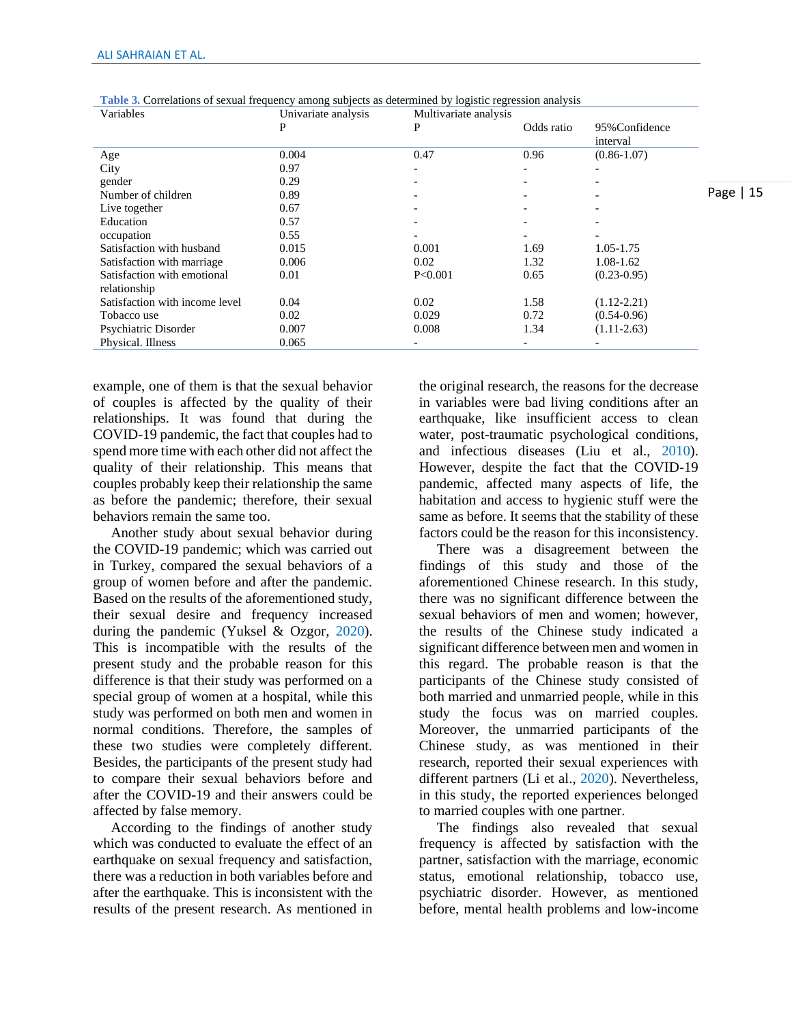| Variables                                   | Univariate analysis | Multivariate analysis |                          |                            |           |
|---------------------------------------------|---------------------|-----------------------|--------------------------|----------------------------|-----------|
|                                             |                     | P                     | Odds ratio               | 95% Confidence<br>interval |           |
| Age                                         | 0.004               | 0.47                  | 0.96                     | $(0.86 - 1.07)$            |           |
| City                                        | 0.97                | -                     | $\overline{\phantom{0}}$ |                            |           |
| gender                                      | 0.29                |                       | $\overline{\phantom{0}}$ |                            |           |
| Number of children                          | 0.89                |                       | $\overline{\phantom{0}}$ |                            | Page   15 |
| Live together                               | 0.67                |                       |                          |                            |           |
| Education                                   | 0.57                |                       | $\overline{\phantom{0}}$ |                            |           |
| occupation                                  | 0.55                |                       |                          |                            |           |
| Satisfaction with husband                   | 0.015               | 0.001                 | 1.69                     | 1.05-1.75                  |           |
| Satisfaction with marriage                  | 0.006               | 0.02                  | 1.32                     | 1.08-1.62                  |           |
| Satisfaction with emotional<br>relationship | 0.01                | P<0.001               | 0.65                     | $(0.23 - 0.95)$            |           |
| Satisfaction with income level              | 0.04                | 0.02                  | 1.58                     | $(1.12 - 2.21)$            |           |
| Tobacco use                                 | 0.02                | 0.029                 | 0.72                     | $(0.54 - 0.96)$            |           |
| Psychiatric Disorder                        | 0.007               | 0.008                 | 1.34                     | $(1.11-2.63)$              |           |
| Physical. Illness                           | 0.065               |                       |                          |                            |           |

**Table 3.** Correlations of sexual frequency among subjects as determined by logistic regression analysis

example, one of them is that the sexual behavior of couples is affected by the quality of their relationships. It was found that during the COVID-19 pandemic, the fact that couples had to spend more time with each other did not affect the quality of their relationship. This means that couples probably keep their relationship the same as before the pandemic; therefore, their sexual behaviors remain the same too.

 Another study about sexual behavior during the COVID-19 pandemic; which was carried out in Turkey, compared the sexual behaviors of a group of women before and after the pandemic. Based on the results of the aforementioned study, their sexual desire and frequency increased during the pandemic (Yuksel & Ozgor, 2020). This is incompatible with the results of the present study and the probable reason for this difference is that their study was performed on a special group of women at a hospital, while this study was performed on both men and women in normal conditions. Therefore, the samples of these two studies were completely different. Besides, the participants of the present study had to compare their sexual behaviors before and after the COVID-19 and their answers could be affected by false memory.

 According to the findings of another study which was conducted to evaluate the effect of an earthquake on sexual frequency and satisfaction. there was a reduction in both variables before and after the earthquake. This is inconsistent with the results of the present research. As mentioned in the original research, the reasons for the decrease in variables were bad living conditions after an earthquake, like insufficient access to clean water, post-traumatic psychological conditions, and infectious diseases (Liu et al., 2010). However, despite the fact that the COVID-19 pandemic, affected many aspects of life, the habitation and access to hygienic stuff were the same as before. It seems that the stability of these factors could be the reason for this inconsistency.

 There was a disagreement between the findings of this study and those of the aforementioned Chinese research. In this study, there was no significant difference between the sexual behaviors of men and women; however, the results of the Chinese study indicated a significant difference between men and women in this regard. The probable reason is that the participants of the Chinese study consisted of both married and unmarried people, while in this study the focus was on married couples. Moreover, the unmarried participants of the Chinese study, as was mentioned in their research, reported their sexual experiences with different partners (Li et al., 2020). Nevertheless, in this study, the reported experiences belonged to married couples with one partner.

 The findings also revealed that sexual frequency is affected by satisfaction with the partner, satisfaction with the marriage, economic status, emotional relationship, tobacco use, psychiatric disorder. However, as mentioned before, mental health problems and low-income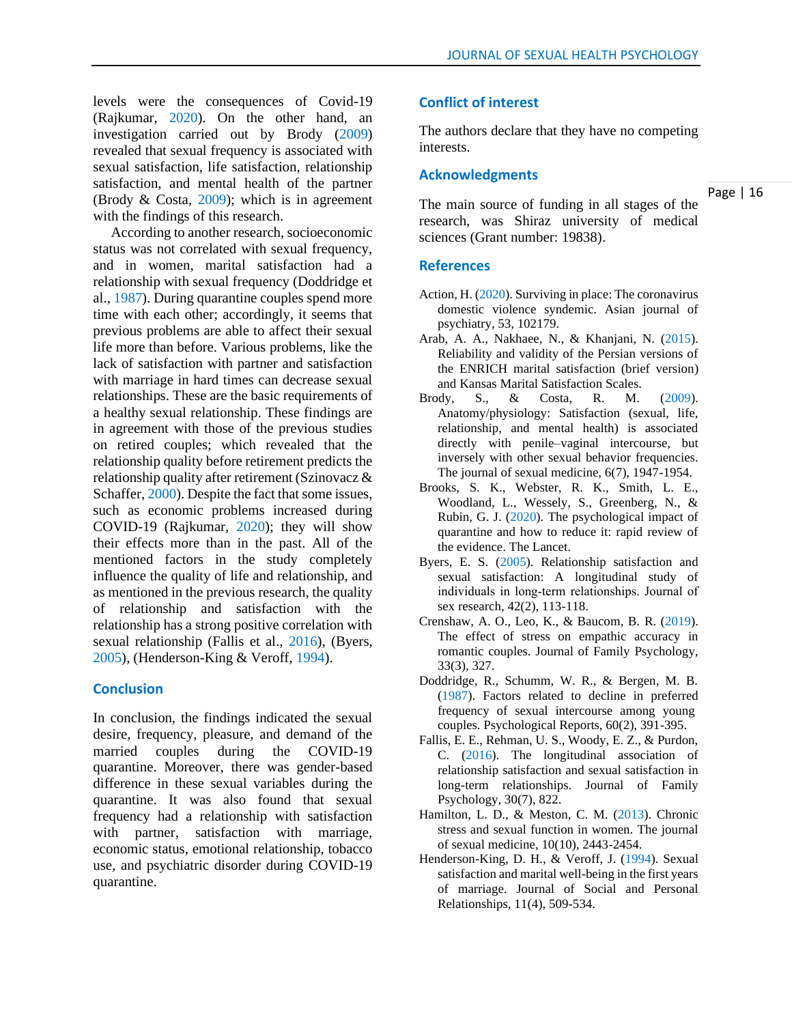levels were the consequences of Covid-19 (Rajkumar, 2020). On the other hand, an investigation carried out by Brody (2009) revealed that sexual frequency is associated with sexual satisfaction, life satisfaction, relationship satisfaction, and mental health of the partner (Brody  $& Costa, 2009$ ); which is in agreement with the findings of this research.

 According to another research, socioeconomic status was not correlated with sexual frequency, and in women, marital satisfaction had a relationship with sexual frequency (Doddridge et al., 1987). During quarantine couples spend more time with each other; accordingly, it seems that previous problems are able to affect their sexual life more than before. Various problems, like the lack of satisfaction with partner and satisfaction with marriage in hard times can decrease sexual relationships. These are the basic requirements of a healthy sexual relationship. These findings are in agreement with those of the previous studies on retired couples; which revealed that the relationship quality before retirement predicts the relationship quality after retirement (Szinovacz & Schaffer, 2000). Despite the fact that some issues, such as economic problems increased during COVID-19 (Rajkumar, 2020); they will show their effects more than in the past. All of the mentioned factors in the study completely influence the quality of life and relationship, and as mentioned in the previous research, the quality of relationship and satisfaction with the relationship has a strong positive correlation with sexual relationship (Fallis et al., 2016), (Byers, 2005), (Henderson-King & Veroff, 1994).

#### **Conclusion**

In conclusion, the findings indicated the sexual desire, frequency, pleasure, and demand of the married couples during the COVID-19 quarantine. Moreover, there was gender-based difference in these sexual variables during the quarantine. It was also found that sexual frequency had a relationship with satisfaction with partner, satisfaction with marriage, economic status, emotional relationship, tobacco use, and psychiatric disorder during COVID-19 quarantine.

#### **Conflict of interest**

The authors declare that they have no competing interests.

#### **Acknowledgments**

Page | 16

The main source of funding in all stages of the research, was Shiraz university of medical sciences (Grant number: 19838).

#### **References**

- Action, H. (2020). Surviving in place: The coronavirus domestic violence syndemic. Asian journal of psychiatry, 53, 102179.
- Arab, A. A., Nakhaee, N., & Khanjani, N. (2015). Reliability and validity of the Persian versions of the ENRICH marital satisfaction (brief version) and Kansas Marital Satisfaction Scales.
- Brody, S., & Costa, R. M. (2009). Anatomy/physiology: Satisfaction (sexual, life, relationship, and mental health) is associated directly with penile–vaginal intercourse, but inversely with other sexual behavior frequencies. The journal of sexual medicine, 6(7), 1947-1954.
- Brooks, S. K., Webster, R. K., Smith, L. E., Woodland, L., Wessely, S., Greenberg, N., & Rubin, G. J. (2020). The psychological impact of quarantine and how to reduce it: rapid review of the evidence. The Lancet.
- Byers, E. S. (2005). Relationship satisfaction and sexual satisfaction: A longitudinal study of individuals in long‐term relationships. Journal of sex research, 42(2), 113-118.
- Crenshaw, A. O., Leo, K., & Baucom, B. R. (2019). The effect of stress on empathic accuracy in romantic couples. Journal of Family Psychology, 33(3), 327.
- Doddridge, R., Schumm, W. R., & Bergen, M. B. (1987). Factors related to decline in preferred frequency of sexual intercourse among young couples. Psychological Reports, 60(2), 391-395.
- Fallis, E. E., Rehman, U. S., Woody, E. Z., & Purdon, C. (2016). The longitudinal association of relationship satisfaction and sexual satisfaction in long-term relationships. Journal of Family Psychology, 30(7), 822.
- Hamilton, L. D., & Meston, C. M. (2013). Chronic stress and sexual function in women. The journal of sexual medicine, 10(10), 2443-2454.
- Henderson-King, D. H., & Veroff, J. (1994). Sexual satisfaction and marital well-being in the first years of marriage. Journal of Social and Personal Relationships, 11(4), 509-534.